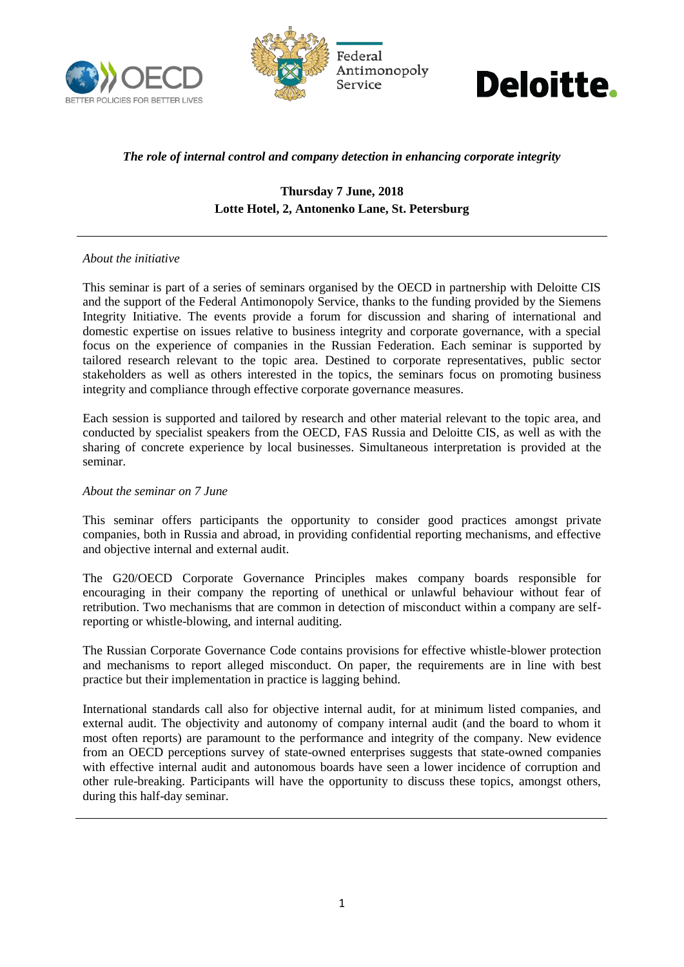





# *The role of internal control and company detection in enhancing corporate integrity*

# **Thursday 7 June, 2018 Lotte Hotel, 2, Antonenko Lane, St. Petersburg**

### *About the initiative*

This seminar is part of a series of seminars organised by the OECD in partnership with Deloitte CIS and the support of the Federal Antimonopoly Service, thanks to the funding provided by the Siemens Integrity Initiative. The events provide a forum for discussion and sharing of international and domestic expertise on issues relative to business integrity and corporate governance, with a special focus on the experience of companies in the Russian Federation. Each seminar is supported by tailored research relevant to the topic area. Destined to corporate representatives, public sector stakeholders as well as others interested in the topics, the seminars focus on promoting business integrity and compliance through effective corporate governance measures.

Each session is supported and tailored by research and other material relevant to the topic area, and conducted by specialist speakers from the OECD, FAS Russia and Deloitte CIS, as well as with the sharing of concrete experience by local businesses. Simultaneous interpretation is provided at the seminar.

#### *About the seminar on 7 June*

This seminar offers participants the opportunity to consider good practices amongst private companies, both in Russia and abroad, in providing confidential reporting mechanisms, and effective and objective internal and external audit.

The G20/OECD Corporate Governance Principles makes company boards responsible for encouraging in their company the reporting of unethical or unlawful behaviour without fear of retribution. Two mechanisms that are common in detection of misconduct within a company are selfreporting or whistle-blowing, and internal auditing.

The Russian Corporate Governance Code contains provisions for effective whistle-blower protection and mechanisms to report alleged misconduct. On paper, the requirements are in line with best practice but their implementation in practice is lagging behind.

International standards call also for objective internal audit, for at minimum listed companies, and external audit. The objectivity and autonomy of company internal audit (and the board to whom it most often reports) are paramount to the performance and integrity of the company. New evidence from an OECD perceptions survey of state-owned enterprises suggests that state-owned companies with effective internal audit and autonomous boards have seen a lower incidence of corruption and other rule-breaking. Participants will have the opportunity to discuss these topics, amongst others, during this half-day seminar.